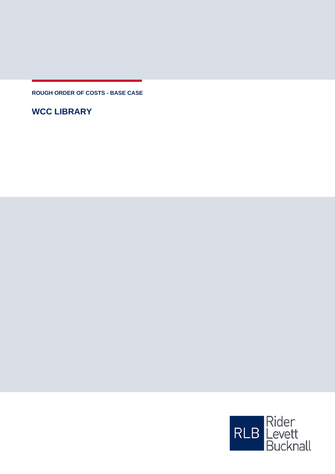**ROUGH ORDER OF COSTS - BASE CASE**

**WCC LIBRARY**

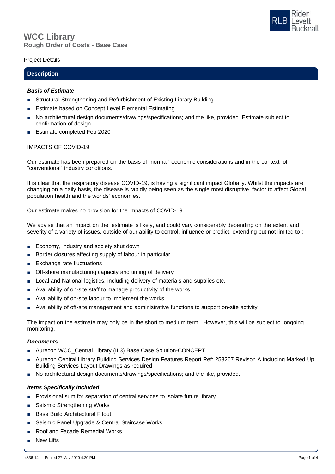# **Rough Order of Costs - Base Case WCC Library**

## Project Details

## **Description**

### *Basis of Estimate*

- Structural Strengthening and Refurbishment of Existing Library Building
- Estimate based on Concept Level Elemental Estimating
- No architectural design documents/drawings/specifications; and the like, provided. Estimate subject to confirmation of design
- Estimate completed Feb 2020

## IMPACTS OF COVID-19

Our estimate has been prepared on the basis of "normal" economic considerations and in the context of "conventional" industry conditions.

It is clear that the respiratory disease COVID-19, is having a significant impact Globally. Whilst the impacts are changing on a daily basis, the disease is rapidly being seen as the single most disruptive factor to affect Global population health and the worlds' economies.

Our estimate makes no provision for the impacts of COVID-19.

We advise that an impact on the estimate is likely, and could vary considerably depending on the extent and severity of a variety of issues, outside of our ability to control, influence or predict, extending but not limited to :

- Economy, industry and society shut down
- Border closures affecting supply of labour in particular
- Exchange rate fluctuations
- Off-shore manufacturing capacity and timing of delivery
- Local and National logistics, including delivery of materials and supplies etc.
- Availability of on-site staff to manage productivity of the works
- Availability of on-site labour to implement the works
- Availability of off-site management and administrative functions to support on-site activity

The impact on the estimate may only be in the short to medium term. However, this will be subject to ongoing monitoring.

### *Documents*

- Aurecon WCC\_Central Library (IL3) Base Case Solution-CONCEPT
- Aurecon Central Library Building Services Design Features Report Ref: 253267 Revison A including Marked Up Building Services Layout Drawings as required
- No architectural design documents/drawings/specifications; and the like, provided.

## *Items Specifically Included*

- Provisional sum for separation of central services to isolate future library
- Seismic Strengthening Works
- Base Build Architectural Fitout
- Seismic Panel Upgrade & Central Staircase Works
- Roof and Facade Remedial Works
- **New Lifts**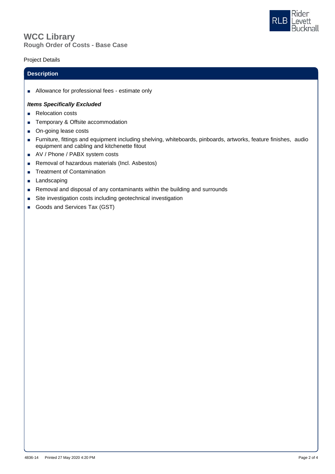



# Project Details

#### **Description**

■ Allowance for professional fees - estimate only

### *Items Specifically Excluded*

- Relocation costs
- Temporary & Offsite accommodation
- On-going lease costs
- Furniture, fittings and equipment including shelving, whiteboards, pinboards, artworks, feature finishes, audio equipment and cabling and kitchenette fitout
- AV / Phone / PABX system costs
- Removal of hazardous materials (Incl. Asbestos)
- Treatment of Contamination
- Landscaping
- Removal and disposal of any contaminants within the building and surrounds
- Site investigation costs including geotechnical investigation
- Goods and Services Tax (GST)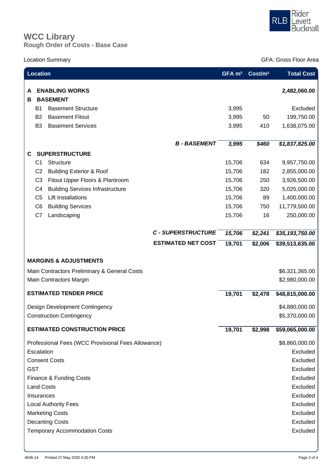

# **Rough Order of Costs - Base Case WCC Library**

Location Summary GFA: Gross Floor Area

| <b>Location</b>                              |                                                           |                           | GFA m <sup>2</sup> | Cost/m <sup>2</sup> | <b>Total Cost</b> |
|----------------------------------------------|-----------------------------------------------------------|---------------------------|--------------------|---------------------|-------------------|
| в                                            | <b>ENABLING WORKS</b><br><b>BASEMENT</b>                  |                           |                    |                     | 2,482,060.00      |
|                                              | <b>B1</b><br><b>Basement Structure</b>                    |                           | 3,995              |                     | Excluded          |
|                                              | B <sub>2</sub><br><b>Basement Fitout</b>                  |                           | 3,995              | 50                  | 199,750.00        |
|                                              | <b>Basement Services</b><br>B <sub>3</sub>                |                           | 3,995              | 410                 | 1,638,075.00      |
|                                              |                                                           |                           |                    |                     |                   |
|                                              |                                                           | <b>B-BASEMENT</b>         | 3,995              | \$460               | \$1,837,825.00    |
| С                                            | <b>SUPERSTRUCTURE</b>                                     |                           |                    |                     |                   |
|                                              | Structure<br>C <sub>1</sub>                               |                           | 15,706             | 634                 | 9,957,750.00      |
|                                              | C <sub>2</sub><br><b>Building Exterior &amp; Roof</b>     |                           | 15,706             | 182                 | 2,855,000.00      |
|                                              | C <sub>3</sub><br>Fitout Upper Floors & Plantroom         |                           | 15,706             | 250                 | 3,926,500.00      |
|                                              | <b>Building Services Infrastructure</b><br>C <sub>4</sub> |                           | 15,706             | 320                 | 5,025,000.00      |
|                                              | <b>Lift Installations</b><br>C <sub>5</sub>               |                           | 15,706             | 89                  | 1,400,000.00      |
|                                              | <b>Building Services</b><br>C <sub>6</sub>                |                           | 15,706             | 750                 | 11,779,500.00     |
|                                              | C7<br>Landscaping                                         |                           | 15,706             | 16                  | 250,000.00        |
|                                              |                                                           | <b>C - SUPERSTRUCTURE</b> |                    |                     |                   |
|                                              |                                                           |                           | 15,706             | \$2,241             | \$35,193,750.00   |
|                                              |                                                           | <b>ESTIMATED NET COST</b> | 19,701             | \$2,006             | \$39,513,635.00   |
|                                              | <b>MARGINS &amp; ADJUSTMENTS</b>                          |                           |                    |                     |                   |
| Main Contractors Preliminary & General Costs |                                                           |                           |                    |                     | \$6,321,365.00    |
|                                              | Main Contractors Margin                                   |                           |                    |                     | \$2,980,000.00    |
|                                              |                                                           |                           |                    |                     |                   |
|                                              | <b>ESTIMATED TENDER PRICE</b>                             |                           | 19,701             | \$2,478             | \$48,815,000.00   |
| Design Development Contingency               |                                                           |                           |                    |                     | \$4,880,000.00    |
| <b>Construction Contingency</b>              |                                                           |                           |                    |                     | \$5,370,000.00    |
|                                              | <b>ESTIMATED CONSTRUCTION PRICE</b>                       |                           | 19,701             | \$2,998             | \$59,065,000.00   |
|                                              | Professional Fees (WCC Provisional Fees Allowance)        |                           |                    |                     | \$8,860,000.00    |
| Escalation                                   |                                                           |                           |                    |                     | Excluded          |
|                                              | <b>Consent Costs</b>                                      |                           |                    |                     | Excluded          |
| <b>GST</b>                                   |                                                           |                           |                    |                     | Excluded          |
|                                              | Finance & Funding Costs                                   |                           |                    |                     | Excluded          |
|                                              | <b>Land Costs</b>                                         |                           |                    |                     | Excluded          |
|                                              | Insurances                                                |                           |                    |                     | Excluded          |
|                                              | <b>Local Authority Fees</b>                               |                           |                    |                     | Excluded          |
|                                              | <b>Marketing Costs</b>                                    |                           |                    |                     | Excluded          |
|                                              | <b>Decanting Costs</b>                                    |                           |                    |                     | Excluded          |
|                                              | <b>Temporary Accommodation Costs</b>                      |                           |                    |                     | Excluded          |